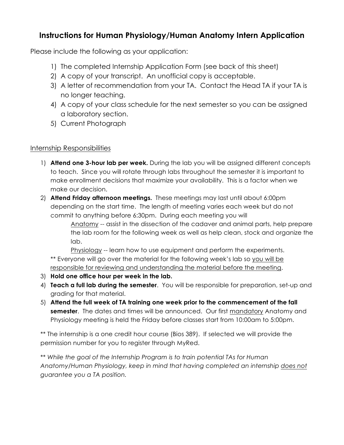## **Instructions for Human Physiology/Human Anatomy Intern Application**

Please include the following as your application:

- 1) The completed Internship Application Form (see back of this sheet)
- 2) A copy of your transcript. An unofficial copy is acceptable.
- 3) A letter of recommendation from your TA. Contact the Head TA if your TA is no longer teaching.
- 4) A copy of your class schedule for the next semester so you can be assigned a laboratory section.
- 5) Current Photograph

## Internship Responsibilities

- 1) **Attend one 3-hour lab per week.** During the lab you will be assigned different concepts to teach. Since you will rotate through labs throughout the semester it is important to make enrollment decisions that maximize your availability. This is a factor when we make our decision.
- 2) **Attend Friday afternoon meetings.** These meetings may last until about 6:00pm depending on the start time. The length of meeting varies each week but do not commit to anything before 6:30pm. During each meeting you will

Anatomy -- assist in the dissection of the cadaver and animal parts, help prepare the lab room for the following week as well as help clean, stock and organize the lab.

Physiology -- learn how to use equipment and perform the experiments. \*\* Everyone will go over the material for the following week's lab so you will be responsible for reviewing and understanding the material before the meeting.

- 3) **Hold one office hour per week in the lab.**
- 4) **Teach a full lab during the semester**. You will be responsible for preparation, set-up and grading for that material.
- 5) **Attend the full week of TA training one week prior to the commencement of the fall semester**. The dates and times will be announced. Our first mandatory Anatomy and Physiology meeting is held the Friday before classes start from 10:00am to 5:00pm.

\*\* The internship is a one credit hour course (Bios 389). If selected we will provide the permission number for you to register through MyRed.

\*\* *While the goal of the Internship Program is to train potential TAs for Human Anatomy/Human Physiology, keep in mind that having completed an internship does not guarantee you a TA position.*